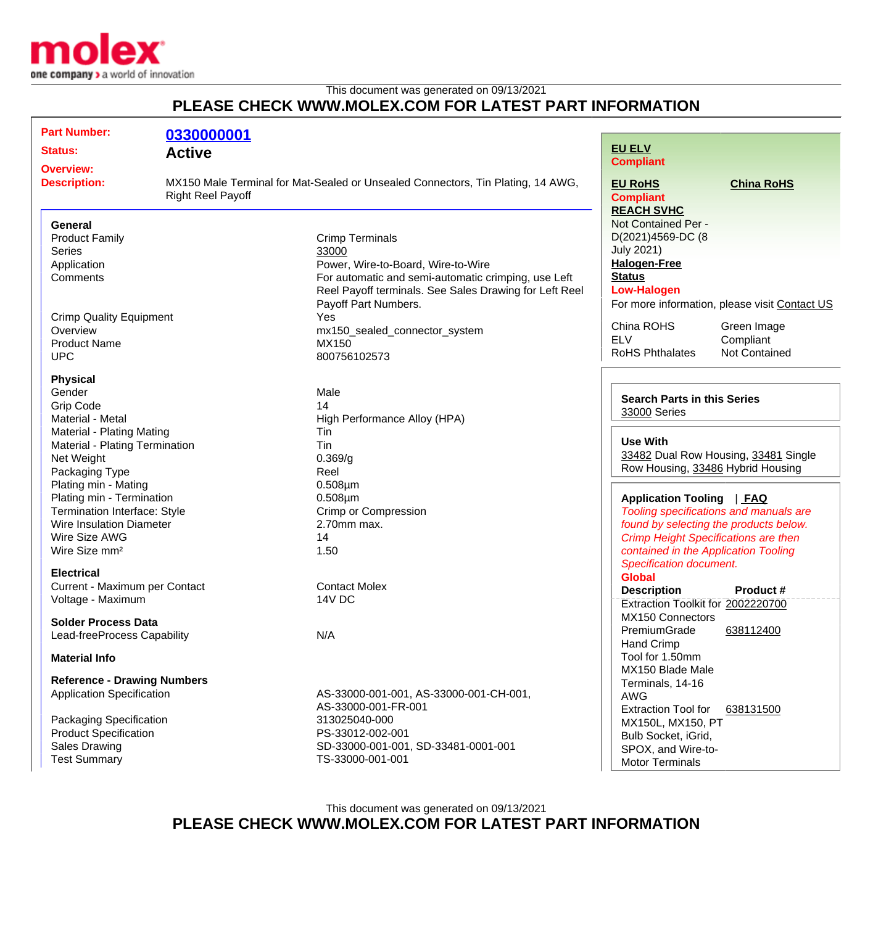

This document was generated on 09/13/2021

## **PLEASE CHECK WWW.MOLEX.COM FOR LATEST PART INFORMATION**

| <b>Part Number:</b>                                       | 0330000001                                                                                                  |                                                        |                                                                           |                      |
|-----------------------------------------------------------|-------------------------------------------------------------------------------------------------------------|--------------------------------------------------------|---------------------------------------------------------------------------|----------------------|
| <b>Status:</b><br><b>Active</b>                           |                                                                                                             |                                                        | <b>EU ELV</b>                                                             |                      |
| <b>Overview:</b>                                          |                                                                                                             |                                                        | <b>Compliant</b>                                                          |                      |
| <b>Description:</b>                                       | MX150 Male Terminal for Mat-Sealed or Unsealed Connectors, Tin Plating, 14 AWG,<br><b>Right Reel Payoff</b> |                                                        | <b>EU RoHS</b><br><b>Compliant</b>                                        | <b>China RoHS</b>    |
| <b>General</b>                                            |                                                                                                             |                                                        | <b>REACH SVHC</b><br>Not Contained Per -                                  |                      |
| <b>Product Family</b>                                     |                                                                                                             | <b>Crimp Terminals</b>                                 | D(2021)4569-DC (8                                                         |                      |
| <b>Series</b>                                             |                                                                                                             | 33000                                                  | <b>July 2021)</b>                                                         |                      |
| Application                                               |                                                                                                             | Power, Wire-to-Board, Wire-to-Wire                     | <b>Halogen-Free</b>                                                       |                      |
| Comments                                                  |                                                                                                             | For automatic and semi-automatic crimping, use Left    | <b>Status</b>                                                             |                      |
|                                                           |                                                                                                             | Reel Payoff terminals. See Sales Drawing for Left Reel | <b>Low-Halogen</b>                                                        |                      |
|                                                           |                                                                                                             | Payoff Part Numbers.                                   | For more information, please visit Contact US                             |                      |
| <b>Crimp Quality Equipment</b>                            |                                                                                                             | Yes                                                    |                                                                           |                      |
| Overview                                                  |                                                                                                             | mx150_sealed_connector_system                          | China ROHS                                                                | Green Image          |
| <b>Product Name</b>                                       |                                                                                                             | MX150                                                  | <b>ELV</b>                                                                | Compliant            |
| <b>UPC</b>                                                |                                                                                                             | 800756102573                                           | <b>RoHS Phthalates</b>                                                    | <b>Not Contained</b> |
| <b>Physical</b>                                           |                                                                                                             |                                                        |                                                                           |                      |
| Gender                                                    |                                                                                                             | Male                                                   | <b>Search Parts in this Series</b><br>33000 Series                        |                      |
| <b>Grip Code</b>                                          |                                                                                                             | 14                                                     |                                                                           |                      |
| Material - Metal                                          |                                                                                                             | High Performance Alloy (HPA)                           |                                                                           |                      |
| Material - Plating Mating                                 |                                                                                                             | Tin                                                    | <b>Use With</b>                                                           |                      |
| Material - Plating Termination                            |                                                                                                             | Tin                                                    |                                                                           |                      |
| Net Weight                                                |                                                                                                             | 0.369/g                                                | 33482 Dual Row Housing, 33481 Single<br>Row Housing, 33486 Hybrid Housing |                      |
| Packaging Type                                            |                                                                                                             | Reel                                                   |                                                                           |                      |
| Plating min - Mating                                      |                                                                                                             | $0.508 \mu m$                                          |                                                                           |                      |
| Plating min - Termination                                 |                                                                                                             | $0.508 \mu m$                                          | <b>Application Tooling</b><br><u>  FAQ</u>                                |                      |
| Termination Interface: Style                              |                                                                                                             | <b>Crimp or Compression</b>                            | Tooling specifications and manuals are                                    |                      |
| <b>Wire Insulation Diameter</b>                           |                                                                                                             | 2.70mm max.                                            | found by selecting the products below.                                    |                      |
| Wire Size AWG                                             |                                                                                                             | 14                                                     | <b>Crimp Height Specifications are then</b>                               |                      |
| Wire Size mm <sup>2</sup>                                 |                                                                                                             | 1.50                                                   | contained in the Application Tooling<br>Specification document.           |                      |
| <b>Electrical</b>                                         |                                                                                                             |                                                        | <b>Global</b>                                                             |                      |
| Current - Maximum per Contact                             |                                                                                                             | <b>Contact Molex</b>                                   |                                                                           |                      |
| Voltage - Maximum                                         |                                                                                                             | 14V DC                                                 | <b>Description</b><br>Extraction Toolkit for 2002220700                   | Product#             |
|                                                           |                                                                                                             |                                                        | MX150 Connectors                                                          |                      |
| <b>Solder Process Data</b><br>Lead-freeProcess Capability |                                                                                                             |                                                        | PremiumGrade                                                              | 638112400            |
|                                                           |                                                                                                             | N/A                                                    | <b>Hand Crimp</b>                                                         |                      |
| <b>Material Info</b>                                      |                                                                                                             |                                                        | Tool for 1.50mm                                                           |                      |
|                                                           |                                                                                                             |                                                        | MX150 Blade Male                                                          |                      |
| <b>Reference - Drawing Numbers</b>                        |                                                                                                             |                                                        | Terminals, 14-16                                                          |                      |
| <b>Application Specification</b>                          |                                                                                                             | AS-33000-001-001, AS-33000-001-CH-001,                 | <b>AWG</b><br><b>Extraction Tool for</b><br>638131500                     |                      |
|                                                           |                                                                                                             | AS-33000-001-FR-001                                    |                                                                           |                      |
| Packaging Specification                                   |                                                                                                             | 313025040-000                                          | MX150L, MX150, PT                                                         |                      |
| <b>Product Specification</b>                              |                                                                                                             | PS-33012-002-001                                       | Bulb Socket, iGrid,                                                       |                      |
| <b>Sales Drawing</b>                                      |                                                                                                             | SD-33000-001-001, SD-33481-0001-001                    | SPOX, and Wire-to-                                                        |                      |
| <b>Test Summary</b>                                       |                                                                                                             | TS-33000-001-001                                       | <b>Motor Terminals</b>                                                    |                      |

This document was generated on 09/13/2021

**PLEASE CHECK WWW.MOLEX.COM FOR LATEST PART INFORMATION**